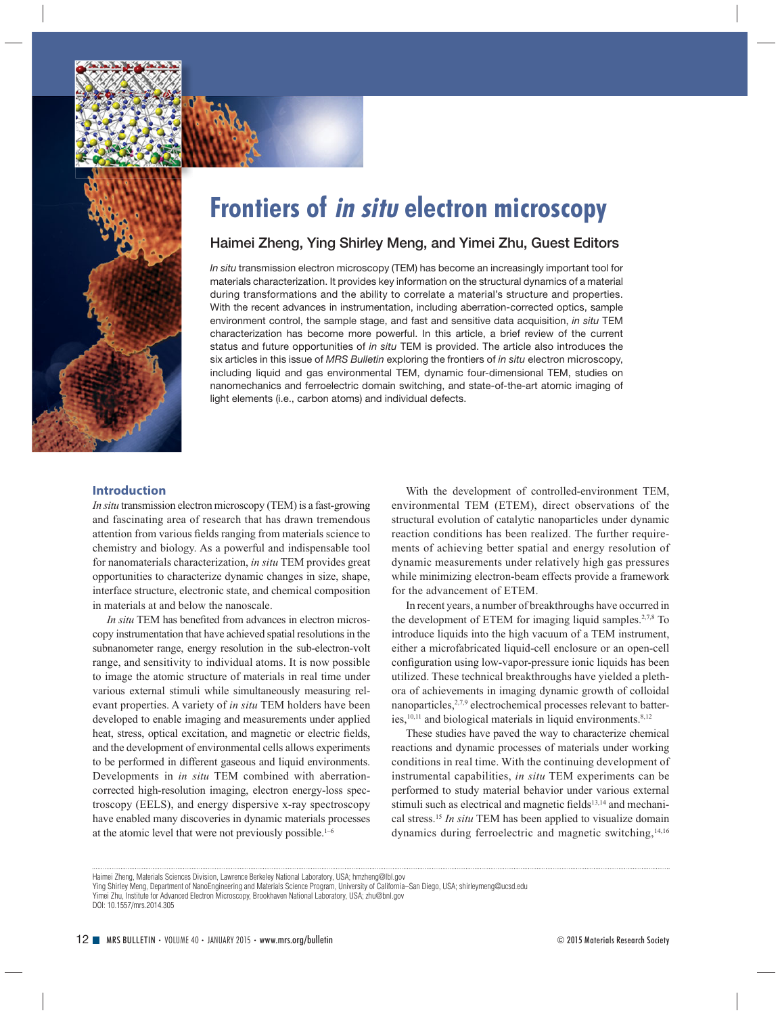

# **Frontiers of in situ electron microscopy**

# **Haimei Zheng, Ying Shirley Meng, and Yimei Zhu, Guest Editors**

In situ transmission electron microscopy (TEM) has become an increasingly important tool for materials characterization. It provides key information on the structural dynamics of a material during transformations and the ability to correlate a material's structure and properties. With the recent advances in instrumentation, including aberration-corrected optics, sample environment control, the sample stage, and fast and sensitive data acquisition, in situ TEM characterization has become more powerful. In this article, a brief review of the current status and future opportunities of in situ TEM is provided. The article also introduces the six articles in this issue of MRS Bulletin exploring the frontiers of in situ electron microscopy, including liquid and gas environmental TEM, dynamic four-dimensional TEM, studies on nanomechanics and ferroelectric domain switching, and state-of-the-art atomic imaging of light elements (i.e., carbon atoms) and individual defects.

#### **Introduction**

*In situ* transmission electron microscopy (TEM) is a fast-growing and fascinating area of research that has drawn tremendous attention from various fields ranging from materials science to chemistry and biology. As a powerful and indispensable tool for nanomaterials characterization, *in situ* TEM provides great opportunities to characterize dynamic changes in size, shape, interface structure, electronic state, and chemical composition in materials at and below the nanoscale.

*In situ* TEM has benefited from advances in electron microscopy instrumentation that have achieved spatial resolutions in the subnanometer range, energy resolution in the sub-electron-volt range, and sensitivity to individual atoms. It is now possible to image the atomic structure of materials in real time under various external stimuli while simultaneously measuring relevant properties. A variety of *in situ* TEM holders have been developed to enable imaging and measurements under applied heat, stress, optical excitation, and magnetic or electric fields, and the development of environmental cells allows experiments to be performed in different gaseous and liquid environments. Developments in *in situ* TEM combined with aberrationcorrected high-resolution imaging, electron energy-loss spectroscopy (EELS), and energy dispersive x-ray spectroscopy have enabled many discoveries in dynamic materials processes at the atomic level that were not previously possible.  $1-6$ 

 With the development of controlled-environment TEM, environmental TEM (ETEM), direct observations of the structural evolution of catalytic nanoparticles under dynamic reaction conditions has been realized. The further requirements of achieving better spatial and energy resolution of dynamic measurements under relatively high gas pressures while minimizing electron-beam effects provide a framework for the advancement of ETEM.

 In recent years, a number of breakthroughs have occurred in the development of ETEM for imaging liquid samples.<sup>2,7,8</sup> To introduce liquids into the high vacuum of a TEM instrument, either a microfabricated liquid-cell enclosure or an open-cell configuration using low-vapor-pressure ionic liquids has been utilized. These technical breakthroughs have yielded a plethora of achievements in imaging dynamic growth of colloidal nanoparticles,  $2,7,9$  electrochemical processes relevant to batteries,  $10,11$  and biological materials in liquid environments.  $8,12$ 

 These studies have paved the way to characterize chemical reactions and dynamic processes of materials under working conditions in real time. With the continuing development of instrumental capabilities, *in situ* TEM experiments can be performed to study material behavior under various external stimuli such as electrical and magnetic fields<sup>13,14</sup> and mechanical stress. 15 *In situ* TEM has been applied to visualize domain dynamics during ferroelectric and magnetic switching, 14,16

Haimei Zheng, Materials Sciences Division, Lawrence Berkeley National Laboratory, USA; hmzheng@lbl.gov

Ying Shirley Meng, Department of NanoEngineering and Materials Science Program, University of California–San Diego, USA; shirleymeng@ucsd.edu Yimei Zhu, Institute for Advanced Electron Microscopy, Brookhaven National Laboratory, USA; zhu@bnl.gov

DOI: 10.1557/mrs.2014.305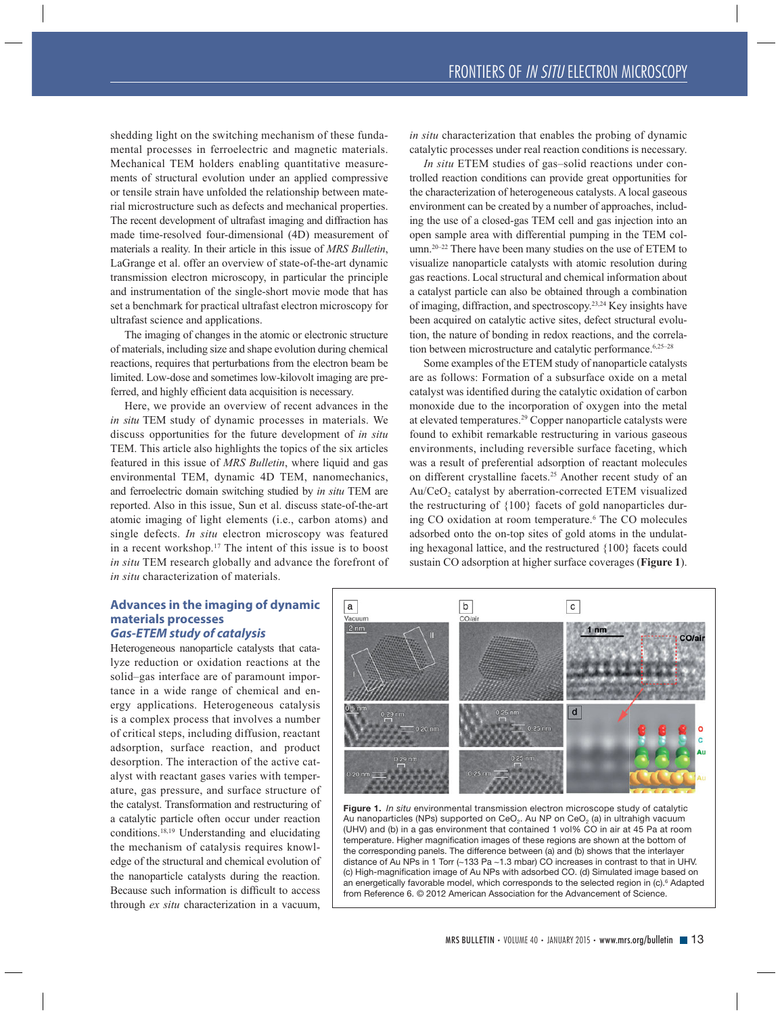shedding light on the switching mechanism of these fundamental processes in ferroelectric and magnetic materials. Mechanical TEM holders enabling quantitative measurements of structural evolution under an applied compressive or tensile strain have unfolded the relationship between material microstructure such as defects and mechanical properties. The recent development of ultrafast imaging and diffraction has made time-resolved four-dimensional (4D) measurement of materials a reality. In their article in this issue of *MRS Bulletin* , LaGrange et al. offer an overview of state-of-the-art dynamic transmission electron microscopy, in particular the principle and instrumentation of the single-short movie mode that has set a benchmark for practical ultrafast electron microscopy for ultrafast science and applications.

 The imaging of changes in the atomic or electronic structure of materials, including size and shape evolution during chemical reactions, requires that perturbations from the electron beam be limited. Low-dose and sometimes low-kilovolt imaging are preferred, and highly efficient data acquisition is necessary.

 Here, we provide an overview of recent advances in the *in situ* TEM study of dynamic processes in materials. We discuss opportunities for the future development of *in situ* TEM. This article also highlights the topics of the six articles featured in this issue of *MRS Bulletin*, where liquid and gas environmental TEM, dynamic 4D TEM, nanomechanics, and ferroelectric domain switching studied by *in situ* TEM are reported. Also in this issue, Sun et al. discuss state-of-the-art atomic imaging of light elements (i.e., carbon atoms) and single defects. *In situ* electron microscopy was featured in a recent workshop.<sup>17</sup> The intent of this issue is to boost *in situ* TEM research globally and advance the forefront of *in situ* characterization of materials.

*in situ* characterization that enables the probing of dynamic catalytic processes under real reaction conditions is necessary.

*In situ* ETEM studies of gas–solid reactions under controlled reaction conditions can provide great opportunities for the characterization of heterogeneous catalysts. A local gaseous environment can be created by a number of approaches, including the use of a closed-gas TEM cell and gas injection into an open sample area with differential pumping in the TEM column.<sup>20-22</sup> There have been many studies on the use of ETEM to visualize nanoparticle catalysts with atomic resolution during gas reactions. Local structural and chemical information about a catalyst particle can also be obtained through a combination of imaging, diffraction, and spectroscopy.<sup>23,24</sup> Key insights have been acquired on catalytic active sites, defect structural evolution, the nature of bonding in redox reactions, and the correlation between microstructure and catalytic performance. 6,25-28

 Some examples of the ETEM study of nanoparticle catalysts are as follows: Formation of a subsurface oxide on a metal catalyst was identified during the catalytic oxidation of carbon monoxide due to the incorporation of oxygen into the metal at elevated temperatures. 29 Copper nanoparticle catalysts were found to exhibit remarkable restructuring in various gaseous environments, including reversible surface faceting, which was a result of preferential adsorption of reactant molecules on different crystalline facets.<sup>25</sup> Another recent study of an Au/CeO, catalyst by aberration-corrected ETEM visualized the restructuring of {100} facets of gold nanoparticles during CO oxidation at room temperature.<sup>6</sup> The CO molecules adsorbed onto the on-top sites of gold atoms in the undulating hexagonal lattice, and the restructured {100} facets could sustain CO adsorption at higher surface coverages ( **Figure 1** ).

#### **Advances in the imaging of dynamic materials processes Gas-ETEM study of catalysis**

 Heterogeneous nanoparticle catalysts that catalyze reduction or oxidation reactions at the solid–gas interface are of paramount importance in a wide range of chemical and energy applications. Heterogeneous catalysis is a complex process that involves a number of critical steps, including diffusion, reactant adsorption, surface reaction, and product desorption. The interaction of the active catalyst with reactant gases varies with temperature, gas pressure, and surface structure of the catalyst. Transformation and restructuring of a catalytic particle often occur under reaction conditions.<sup>18,19</sup> Understanding and elucidating the mechanism of catalysis requires knowledge of the structural and chemical evolution of the nanoparticle catalysts during the reaction. Because such information is difficult to access through *ex situ* characterization in a vacuum,



**Figure 1.** In situ environmental transmission electron microscope study of catalytic Au nanoparticles (NPs) supported on CeO<sub>2</sub>. Au NP on CeO<sub>2</sub> (a) in ultrahigh vacuum (UHV) and (b) in a gas environment that contained 1 vol% CO in air at 45 Pa at room temperature. Higher magnification images of these regions are shown at the bottom of the corresponding panels. The difference between (a) and (b) shows that the interlayer distance of Au NPs in 1 Torr (~133 Pa ~1.3 mbar) CO increases in contrast to that in UHV. (c) High-magnification image of Au NPs with adsorbed CO. (d) Simulated image based on an energetically favorable model, which corresponds to the selected region in (c). 6 Adapted from Reference 6. © 2012 American Association for the Advancement of Science.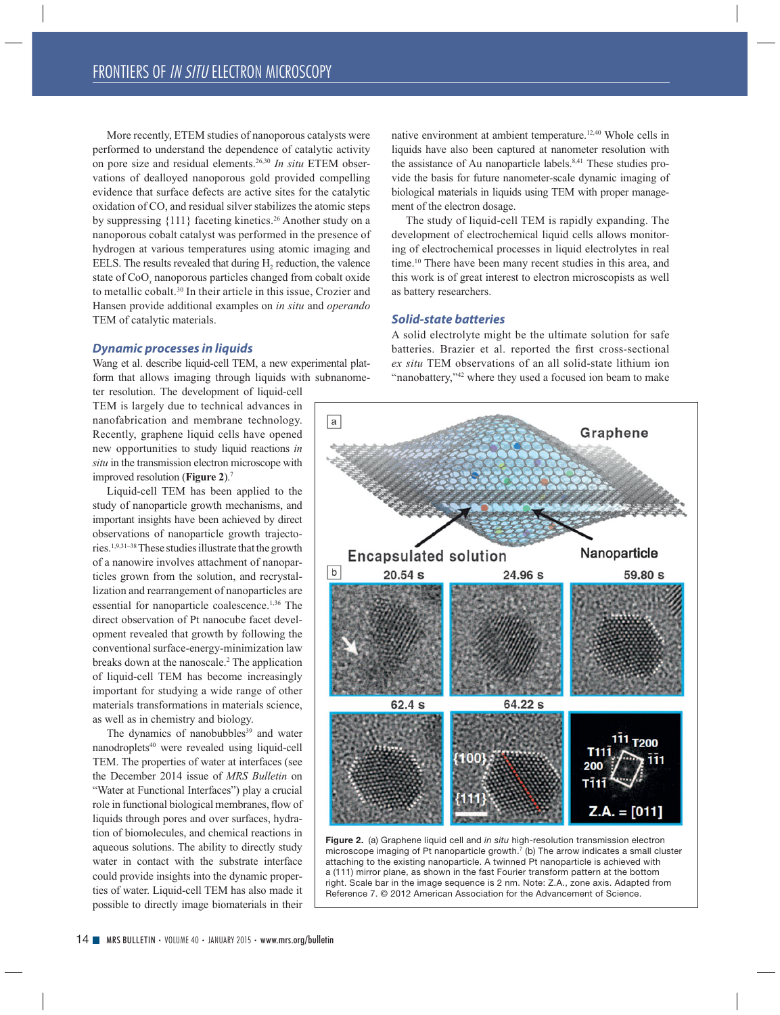More recently, ETEM studies of nanoporous catalysts were performed to understand the dependence of catalytic activity on pore size and residual elements.<sup>26,30</sup> In situ ETEM observations of dealloyed nanoporous gold provided compelling evidence that surface defects are active sites for the catalytic oxidation of CO, and residual silver stabilizes the atomic steps by suppressing  ${111}$  faceting kinetics.<sup>26</sup> Another study on a nanoporous cobalt catalyst was performed in the presence of hydrogen at various temperatures using atomic imaging and EELS. The results revealed that during  $H_2$  reduction, the valence state of CoO<sub>x</sub> nanoporous particles changed from cobalt oxide to metallic cobalt. 30 In their article in this issue, Crozier and Hansen provide additional examples on *in situ* and *operando* TEM of catalytic materials.

#### **Dynamic processes in liquids**

 Wang et al. describe liquid-cell TEM, a new experimental platform that allows imaging through liquids with subnanome-

ter resolution. The development of liquid-cell TEM is largely due to technical advances in nanofabrication and membrane technology. Recently, graphene liquid cells have opened new opportunities to study liquid reactions *in situ* in the transmission electron microscope with improved resolution (Figure 2).<sup>7</sup>

 Liquid-cell TEM has been applied to the study of nanoparticle growth mechanisms, and important insights have been achieved by direct observations of nanoparticle growth trajectories.<sup>1,9,31-38</sup> These studies illustrate that the growth of a nanowire involves attachment of nanoparticles grown from the solution, and recrystallization and rearrangement of nanoparticles are essential for nanoparticle coalescence.<sup>1,36</sup> The direct observation of Pt nanocube facet development revealed that growth by following the conventional surface-energy-minimization law breaks down at the nanoscale.<sup>2</sup> The application of liquid-cell TEM has become increasingly important for studying a wide range of other materials transformations in materials science, as well as in chemistry and biology.

The dynamics of nanobubbles<sup>39</sup> and water nanodroplets<sup>40</sup> were revealed using liquid-cell TEM. The properties of water at interfaces (see the December 2014 issue of *MRS Bulletin* on "Water at Functional Interfaces") play a crucial role in functional biological membranes, flow of liquids through pores and over surfaces, hydration of biomolecules, and chemical reactions in aqueous solutions. The ability to directly study water in contact with the substrate interface could provide insights into the dynamic properties of water. Liquid-cell TEM has also made it possible to directly image biomaterials in their

native environment at ambient temperature.<sup>12,40</sup> Whole cells in liquids have also been captured at nanometer resolution with the assistance of Au nanoparticle labels.<sup>8,41</sup> These studies provide the basis for future nanometer-scale dynamic imaging of biological materials in liquids using TEM with proper management of the electron dosage.

 The study of liquid-cell TEM is rapidly expanding. The development of electrochemical liquid cells allows monitoring of electrochemical processes in liquid electrolytes in real time. 10 There have been many recent studies in this area, and this work is of great interest to electron microscopists as well as battery researchers.

#### **Solid-state batteries**

 A solid electrolyte might be the ultimate solution for safe batteries. Brazier et al. reported the first cross-sectional *ex situ* TEM observations of an all solid-state lithium ion "nanobattery,"<sup>42</sup> where they used a focused ion beam to make



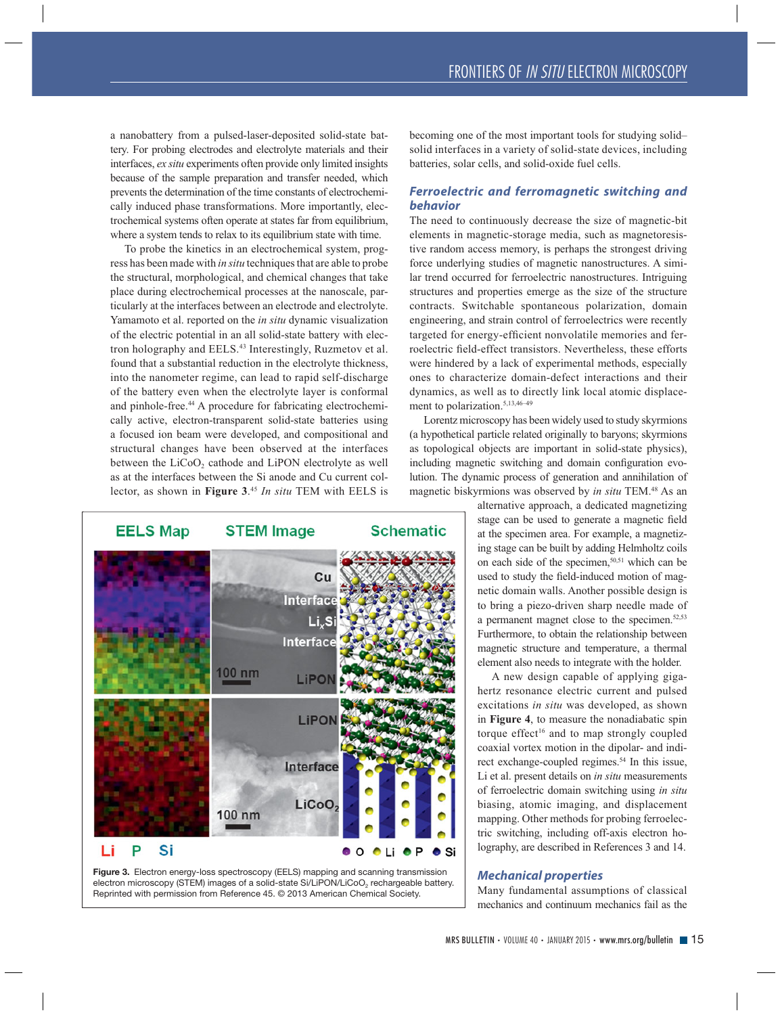a nanobattery from a pulsed-laser-deposited solid-state battery. For probing electrodes and electrolyte materials and their interfaces, *ex situ* experiments often provide only limited insights because of the sample preparation and transfer needed, which prevents the determination of the time constants of electrochemically induced phase transformations. More importantly, electrochemical systems often operate at states far from equilibrium, where a system tends to relax to its equilibrium state with time.

 To probe the kinetics in an electrochemical system, progress has been made with *in situ* techniques that are able to probe the structural, morphological, and chemical changes that take place during electrochemical processes at the nanoscale, particularly at the interfaces between an electrode and electrolyte. Yamamoto et al. reported on the *in situ* dynamic visualization of the electric potential in an all solid-state battery with electron holography and EELS. 43 Interestingly, Ruzmetov et al. found that a substantial reduction in the electrolyte thickness, into the nanometer regime, can lead to rapid self-discharge of the battery even when the electrolyte layer is conformal and pinhole-free. 44 A procedure for fabricating electrochemically active, electron-transparent solid-state batteries using a focused ion beam were developed, and compositional and structural changes have been observed at the interfaces between the LiCoO<sub>2</sub> cathode and LiPON electrolyte as well as at the interfaces between the Si anode and Cu current collector, as shown in **Figure 3**.<sup>45</sup> In situ TEM with EELS is





becoming one of the most important tools for studying solid– solid interfaces in a variety of solid-state devices, including batteries, solar cells, and solid-oxide fuel cells.

### **Ferroelectric and ferromagnetic switching and behavior**

 The need to continuously decrease the size of magnetic-bit elements in magnetic-storage media, such as magnetoresistive random access memory, is perhaps the strongest driving force underlying studies of magnetic nanostructures. A similar trend occurred for ferroelectric nanostructures. Intriguing structures and properties emerge as the size of the structure contracts. Switchable spontaneous polarization, domain engineering, and strain control of ferroelectrics were recently targeted for energy-efficient nonvolatile memories and ferroelectric field-effect transistors. Nevertheless, these efforts were hindered by a lack of experimental methods, especially ones to characterize domain-defect interactions and their dynamics, as well as to directly link local atomic displacement to polarization.<sup>5,13,46-49</sup>

 Lorentz microscopy has been widely used to study skyrmions (a hypothetical particle related originally to baryons; skyrmions as topological objects are important in solid-state physics), including magnetic switching and domain configuration evolution. The dynamic process of generation and annihilation of magnetic biskyrmions was observed by *in situ* TEM.<sup>48</sup> As an

> alternative approach, a dedicated magnetizing stage can be used to generate a magnetic field at the specimen area. For example, a magnetizing stage can be built by adding Helmholtz coils on each side of the specimen,<sup>50,51</sup> which can be used to study the field-induced motion of magnetic domain walls. Another possible design is to bring a piezo-driven sharp needle made of a permanent magnet close to the specimen.<sup>52,53</sup> Furthermore, to obtain the relationship between magnetic structure and temperature, a thermal element also needs to integrate with the holder.

> A new design capable of applying gigahertz resonance electric current and pulsed excitations *in situ* was developed, as shown in **Figure 4** , to measure the nonadiabatic spin torque effect<sup>16</sup> and to map strongly coupled coaxial vortex motion in the dipolar- and indirect exchange-coupled regimes.<sup>54</sup> In this issue, Li et al. present details on *in situ* measurements of ferroelectric domain switching using *in situ* biasing, atomic imaging, and displacement mapping. Other methods for probing ferroelectric switching, including off-axis electron holography, are described in References 3 and 14.

#### **Mechanical properties**

 Many fundamental assumptions of classical mechanics and continuum mechanics fail as the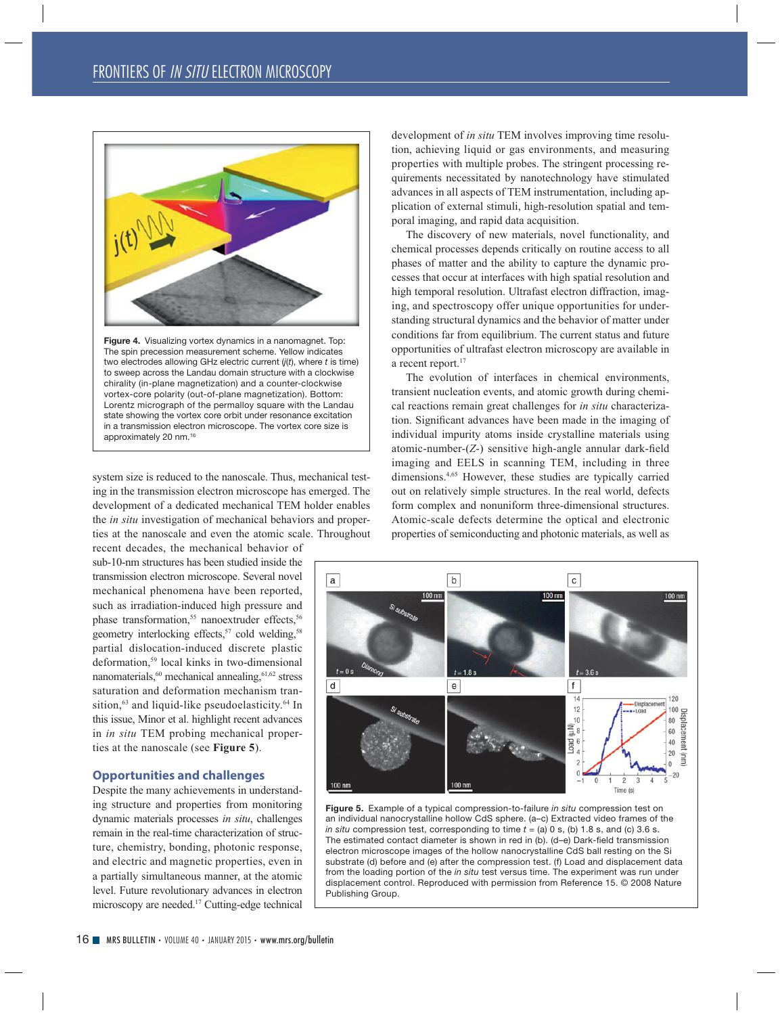

**Figure 4.** Visualizing vortex dynamics in a nanomagnet. Top: The spin precession measurement scheme. Yellow indicates two electrodes allowing GHz electric current  $(j(t))$ , where  $t$  is time) to sweep across the Landau domain structure with a clockwise chirality (in-plane magnetization) and a counter-clockwise vortex-core polarity (out-of-plane magnetization). Bottom: Lorentz micrograph of the permalloy square with the Landau state showing the vortex core orbit under resonance excitation in a transmission electron microscope. The vortex core size is approximately 20 nm. 16

system size is reduced to the nanoscale. Thus, mechanical testing in the transmission electron microscope has emerged. The development of a dedicated mechanical TEM holder enables the *in situ* investigation of mechanical behaviors and properties at the nanoscale and even the atomic scale. Throughout

recent decades, the mechanical behavior of sub-10-nm structures has been studied inside the transmission electron microscope. Several novel mechanical phenomena have been reported, such as irradiation-induced high pressure and phase transformation,<sup>55</sup> nanoextruder effects,<sup>56</sup> geometry interlocking effects,<sup>57</sup> cold welding,<sup>58</sup> partial dislocation-induced discrete plastic deformation,<sup>59</sup> local kinks in two-dimensional nanomaterials,  $60$  mechanical annealing,  $61,62$  stress saturation and deformation mechanism transition, <sup>63</sup> and liquid-like pseudoelasticity. <sup>64</sup> In this issue, Minor et al. highlight recent advances in *in situ* TEM probing mechanical properties at the nanoscale (see **Figure 5** ).

#### **Opportunities and challenges**

 Despite the many achievements in understanding structure and properties from monitoring dynamic materials processes *in situ*, challenges remain in the real-time characterization of structure, chemistry, bonding, photonic response, and electric and magnetic properties, even in a partially simultaneous manner, at the atomic level. Future revolutionary advances in electron microscopy are needed. 17 Cutting-edge technical

development of *in situ* TEM involves improving time resolution, achieving liquid or gas environments, and measuring properties with multiple probes. The stringent processing requirements necessitated by nanotechnology have stimulated advances in all aspects of TEM instrumentation, including application of external stimuli, high-resolution spatial and temporal imaging, and rapid data acquisition.

 The discovery of new materials, novel functionality, and chemical processes depends critically on routine access to all phases of matter and the ability to capture the dynamic processes that occur at interfaces with high spatial resolution and high temporal resolution. Ultrafast electron diffraction, imaging, and spectroscopy offer unique opportunities for understanding structural dynamics and the behavior of matter under conditions far from equilibrium. The current status and future opportunities of ultrafast electron microscopy are available in a recent report.<sup>17</sup>

 The evolution of interfaces in chemical environments, transient nucleation events, and atomic growth during chemical reactions remain great challenges for *in situ* characterization. Significant advances have been made in the imaging of individual impurity atoms inside crystalline materials using atomic-number- $(Z)$  sensitive high-angle annular dark-field imaging and EELS in scanning TEM, including in three dimensions.<sup>4,65</sup> However, these studies are typically carried out on relatively simple structures. In the real world, defects form complex and nonuniform three-dimensional structures. Atomic-scale defects determine the optical and electronic properties of semiconducting and photonic materials, as well as



**Figure 5.** Example of a typical compression-to-failure in situ compression test on an individual nanocrystalline hollow CdS sphere. (a–c) Extracted video frames of the in situ compression test, corresponding to time  $t = (a) 0 s$ , (b) 1.8 s, and (c) 3.6 s. The estimated contact diameter is shown in red in (b). (d-e) Dark-field transmission electron microscope images of the hollow nanocrystalline CdS ball resting on the Si substrate (d) before and (e) after the compression test. (f) Load and displacement data from the loading portion of the *in situ* test versus time. The experiment was run under displacement control. Reproduced with permission from Reference 15. © 2008 Nature Publishing Group.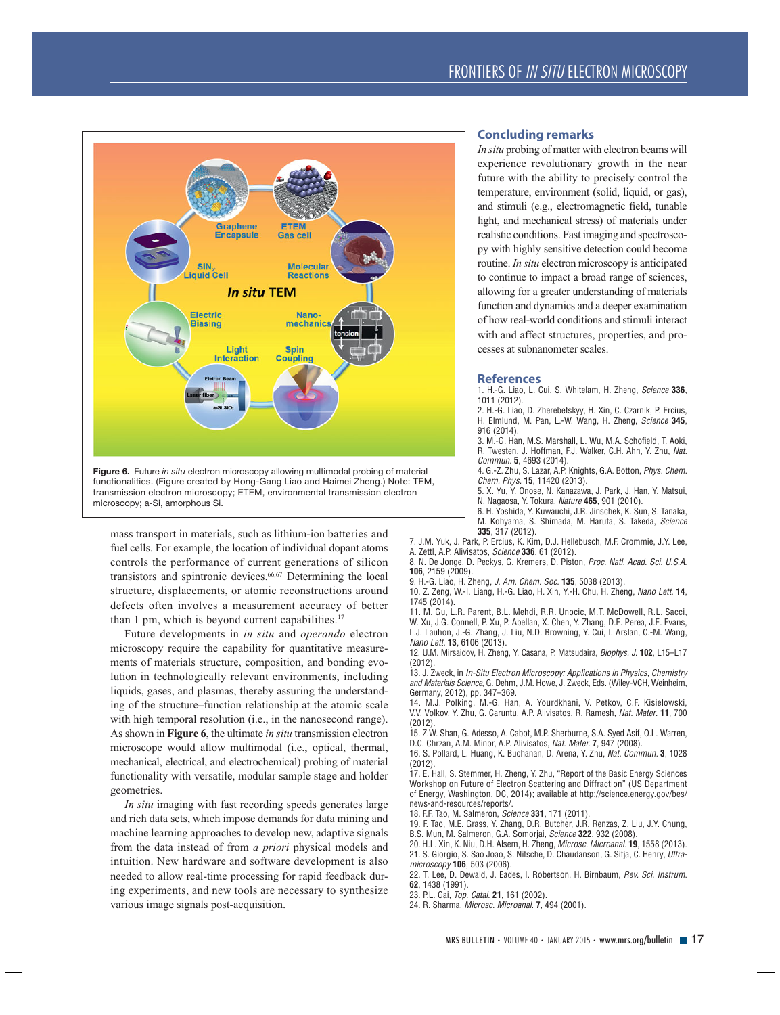

transmission electron microscopy; ETEM, environmental transmission electron microscopy; a-Si, amorphous Si.

mass transport in materials, such as lithium-ion batteries and fuel cells. For example, the location of individual dopant atoms controls the performance of current generations of silicon transistors and spintronic devices.<sup>66,67</sup> Determining the local structure, displacements, or atomic reconstructions around defects often involves a measurement accuracy of better than 1 pm, which is beyond current capabilities.<sup>17</sup>

 Future developments in *in situ* and *operando* electron microscopy require the capability for quantitative measurements of materials structure, composition, and bonding evolution in technologically relevant environments, including liquids, gases, and plasmas, thereby assuring the understanding of the structure–function relationship at the atomic scale with high temporal resolution (i.e., in the nanosecond range). As shown in **Figure 6** , the ultimate *in situ* transmission electron microscope would allow multimodal (i.e., optical, thermal, mechanical, electrical, and electrochemical) probing of material functionality with versatile, modular sample stage and holder geometries.

*In situ* imaging with fast recording speeds generates large and rich data sets, which impose demands for data mining and machine learning approaches to develop new, adaptive signals from the data instead of from *a priori* physical models and intuition. New hardware and software development is also needed to allow real-time processing for rapid feedback during experiments, and new tools are necessary to synthesize various image signals post-acquisition.

#### **Concluding remarks**

*In situ* probing of matter with electron beams will experience revolutionary growth in the near future with the ability to precisely control the temperature, environment (solid, liquid, or gas), and stimuli (e.g., electromagnetic field, tunable light, and mechanical stress) of materials under realistic conditions. Fast imaging and spectroscopy with highly sensitive detection could become routine. *In situ* electron microscopy is anticipated to continue to impact a broad range of sciences, allowing for a greater understanding of materials function and dynamics and a deeper examination of how real-world conditions and stimuli interact with and affect structures, properties, and processes at subnanometer scales.

#### **References**

1. H.-G. Liao, L. Cui, S. Whitelam, H. Zheng, *Science* 336. 1011 (2012).

2. H.-G. Liao, D. Zherebetskyy, H. Xin, C. Czarnik, P. Ercius, H. Elmlund, M. Pan, L.-W. Wang, H. Zheng, Science 345, 916 (2014).

3. M.-G. Han, M.S. Marshall, L. Wu, M.A. Schofield, T. Aoki, R. Twesten, J. Hoffman, F.J. Walker, C.H. Ahn, Y. Zhu, Nat. Commun. 5, 4693 (2014).

4. G.-Z. Zhu, S. Lazar, A.P. Knights, G.A. Botton, Phys. Chem. Chem. Phys. **15**, 11420 (2013).

5. X. Yu, Y. Onose, N. Kanazawa, J. Park, J. Han, Y. Matsui, N. Nagaosa, Y. Tokura, Nature 465, 901 (2010).

6. H. Yoshida, Y. Kuwauchi, J.R. Jinschek, K. Sun, S. Tanaka, M. Kohyama, S. Shimada, M. Haruta, S. Takeda, Science **335**, 317 (2012).

7. J.M. Yuk, J. Park, P. Ercius, K. Kim, D.J. Hellebusch, M.F. Crommie, J.Y. Lee, A. Zettl , A.P. Alivisatos , Science **336** , 61 ( 2012 ).

8. N. De Jonge, D. Peckys, G. Kremers, D. Piston, Proc. Natl. Acad. Sci. U.S.A. **106** , 2159 ( 2009 ).

9. H.-G. Liao , H. Zheng , J. Am. Chem. Soc. **135** , 5038 ( 2013 ).

10. Z. Zeng, W.-I. Liang, H.-G. Liao, H. Xin, Y.-H. Chu, H. Zheng, Nano Lett. **14**, 1745 (2014).

11. M. Gu, L.R. Parent, B.L. Mehdi, R.R. Unocic, M.T. McDowell, R.L. Sacci, W. Xu, J.G. Connell, P. Xu, P. Abellan, X. Chen, Y. Zhang, D.E. Perea, J.E. Evans, L.J. Lauhon, J.-G. Zhang, J. Liu, N.D. Browning, Y. Cui, I. Arslan, C.-M. Wang, Nano Lett. **13**, 6106 (2013).

12. U.M. Mirsaidov, H. Zheng, Y. Casana, P. Matsudaira, Biophys. J. 102, L15-L17  $(2012)$ .

 13. J. Zweck , in In-Situ Electron Microscopy: Applications in Physics, Chemistry and Materials Science, G. Dehm, J.M. Howe, J. Zweck, Eds. (Wiley-VCH, Weinheim, Germany, 2012), pp. 347-369.

14. M.J. Polking, M.-G. Han, A. Yourdkhani, V. Petkov, C.F. Kisielowski, V.V. Volkov, Y. Zhu, G. Caruntu, A.P. Alivisatos, R. Ramesh, Nat. Mater. **11**, 700  $(2012)$ 

15. Z.W. Shan, G. Adesso, A. Cabot, M.P. Sherburne, S.A. Syed Asif, O.L. Warren, D.C. Chrzan , A.M. Minor , A.P. Alivisatos , Nat. Mater. **7** , 947 ( 2008 ).

16. S. Pollard, L. Huang, K. Buchanan, D. Arena, Y. Zhu, Nat. Commun. 3, 1028  $(2012).$ 

17. E. Hall, S. Stemmer, H. Zheng, Y. Zhu, "Report of the Basic Energy Sciences Workshop on Future of Electron Scattering and Diffraction" (US Department of Energy, Washington, DC, 2014); available at http://science.energy.gov/bes/ news-and-resources/reports/ .

18. F.F. Tao, M. Salmeron, Science 331, 171 (2011).

19. F. Tao, M.E. Grass, Y. Zhang, D.R. Butcher, J.R. Renzas, Z. Liu, J.Y. Chung,

B.S. Mun, M. Salmeron, G.A. Somorjai, Science 322, 932 (2008). 20. H.L. Xin, K. Niu, D.H. Alsem, H. Zheng, Microsc. Microanal. **19**, 1558 (2013).

21. S. Giorgio, S. Sao Joao, S. Nitsche, D. Chaudanson, G. Sitia, C. Henry, Ultramicroscopy **106** , 503 ( 2006 ).

22. T. Lee, D. Dewald, J. Eades, I. Robertson, H. Birnbaum, Rev. Sci. Instrum. **62** , 1438 ( 1991 ).

23. P.L. Gai, Top. Catal. **21**, 161 (2002).

24. R. Sharma, Microsc. Microanal. 7, 494 (2001).